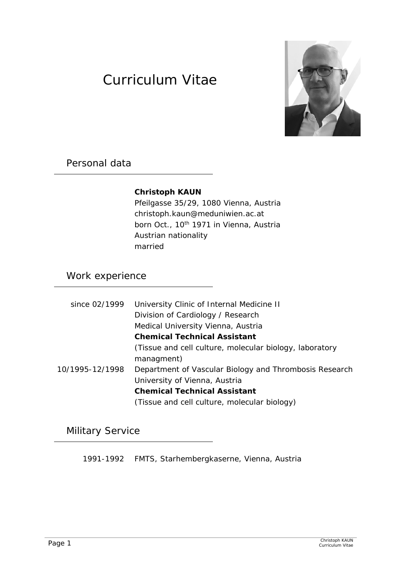# Curriculum Vitae



### Personal data

#### **Christoph KAUN**

 Pfeilgasse 35/29, 1080 Vienna, Austria christoph.kaun@meduniwien.ac.at born Oct., 10<sup>th</sup> 1971 in Vienna, Austria Austrian nationality married

## Work experience

| since 02/1999   | University Clinic of Internal Medicine II               |
|-----------------|---------------------------------------------------------|
|                 | Division of Cardiology / Research                       |
|                 | Medical University Vienna, Austria                      |
|                 | <b>Chemical Technical Assistant</b>                     |
|                 | (Tissue and cell culture, molecular biology, laboratory |
|                 | managment)                                              |
| 10/1995-12/1998 | Department of Vascular Biology and Thrombosis Research  |
|                 | University of Vienna, Austria                           |
|                 | <b>Chemical Technical Assistant</b>                     |
|                 | (Tissue and cell culture, molecular biology)            |

Military Service

1991-1992 FMTS, Starhembergkaserne, Vienna, Austria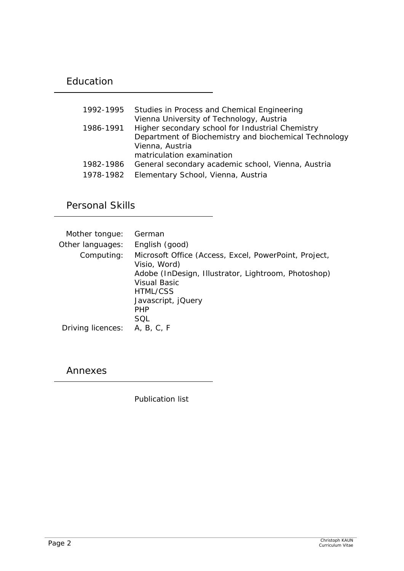## Education

| 1992-1995 | Studies in Process and Chemical Engineering           |
|-----------|-------------------------------------------------------|
|           | Vienna University of Technology, Austria              |
| 1986-1991 | Higher secondary school for Industrial Chemistry      |
|           | Department of Biochemistry and biochemical Technology |
|           | Vienna, Austria                                       |
|           | matriculation examination                             |
| 1982-1986 | General secondary academic school, Vienna, Austria    |
| 1978-1982 | Elementary School, Vienna, Austria                    |

Personal Skills

| Mother tongue:    | German                                                                |
|-------------------|-----------------------------------------------------------------------|
| Other languages:  | English (good)                                                        |
| Computing:        | Microsoft Office (Access, Excel, PowerPoint, Project,<br>Visio, Word) |
|                   | Adobe (InDesign, Illustrator, Lightroom, Photoshop)                   |
|                   | Visual Basic                                                          |
|                   | HTML/CSS                                                              |
|                   | Javascript, jQuery                                                    |
|                   | <b>PHP</b>                                                            |
|                   | SQL                                                                   |
| Driving licences: | A, B, C, F                                                            |

Annexes

Publication list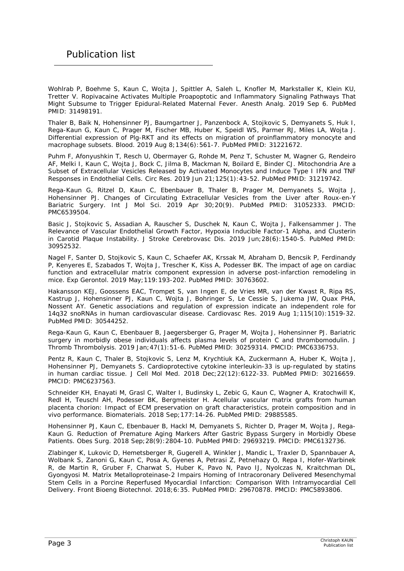Wohlrab P, Boehme S, Kaun C, Wojta J, Spittler A, Saleh L, Knofler M, Markstaller K, Klein KU, Tretter V. Ropivacaine Activates Multiple Proapoptotic and Inflammatory Signaling Pathways That Might Subsume to Trigger Epidural-Related Maternal Fever. Anesth Analg. 2019 Sep 6. PubMed PMID: 31498191.

Thaler B, Baik N, Hohensinner PJ, Baumgartner J, Panzenbock A, Stojkovic S, Demyanets S, Huk I, Rega-Kaun G, Kaun C, Prager M, Fischer MB, Huber K, Speidl WS, Parmer RJ, Miles LA, Wojta J. Differential expression of Plg-RKT and its effects on migration of proinflammatory monocyte and macrophage subsets. Blood. 2019 Aug 8;134(6):561-7. PubMed PMID: 31221672.

Puhm F, Afonyushkin T, Resch U, Obermayer G, Rohde M, Penz T, Schuster M, Wagner G, Rendeiro AF, Melki I, Kaun C, Wojta J, Bock C, Jilma B, Mackman N, Boilard E, Binder CJ. Mitochondria Are a Subset of Extracellular Vesicles Released by Activated Monocytes and Induce Type I IFN and TNF Responses in Endothelial Cells. Circ Res. 2019 Jun 21;125(1):43-52. PubMed PMID: 31219742.

Rega-Kaun G, Ritzel D, Kaun C, Ebenbauer B, Thaler B, Prager M, Demyanets S, Wojta J, Hohensinner PJ. Changes of Circulating Extracellular Vesicles from the Liver after Roux-en-Y Bariatric Surgery. Int J Mol Sci. 2019 Apr 30;20(9). PubMed PMID: 31052333. PMCID: PMC6539504.

Basic J, Stojkovic S, Assadian A, Rauscher S, Duschek N, Kaun C, Wojta J, Falkensammer J. The Relevance of Vascular Endothelial Growth Factor, Hypoxia Inducible Factor-1 Alpha, and Clusterin in Carotid Plaque Instability. J Stroke Cerebrovasc Dis. 2019 Jun;28(6):1540-5. PubMed PMID: 30952532.

Nagel F, Santer D, Stojkovic S, Kaun C, Schaefer AK, Krssak M, Abraham D, Bencsik P, Ferdinandy P, Kenyeres E, Szabados T, Wojta J, Trescher K, Kiss A, Podesser BK. The impact of age on cardiac function and extracellular matrix component expression in adverse post-infarction remodeling in mice. Exp Gerontol. 2019 May;119:193-202. PubMed PMID: 30763602.

Hakansson KEJ, Goossens EAC, Trompet S, van Ingen E, de Vries MR, van der Kwast R, Ripa RS, Kastrup J, Hohensinner PJ, Kaun C, Wojta J, Bohringer S, Le Cessie S, Jukema JW, Quax PHA, Nossent AY. Genetic associations and regulation of expression indicate an independent role for 14q32 snoRNAs in human cardiovascular disease. Cardiovasc Res. 2019 Aug 1;115(10):1519-32. PubMed PMID: 30544252.

Rega-Kaun G, Kaun C, Ebenbauer B, Jaegersberger G, Prager M, Wojta J, Hohensinner PJ. Bariatric surgery in morbidly obese individuals affects plasma levels of protein C and thrombomodulin. J Thromb Thrombolysis. 2019 Jan;47(1):51-6. PubMed PMID: 30259314. PMCID: PMC6336753.

Pentz R, Kaun C, Thaler B, Stojkovic S, Lenz M, Krychtiuk KA, Zuckermann A, Huber K, Wojta J, Hohensinner PJ, Demyanets S. Cardioprotective cytokine interleukin-33 is up-regulated by statins in human cardiac tissue. J Cell Mol Med. 2018 Dec;22(12):6122-33. PubMed PMID: 30216659. PMCID: PMC6237563.

Schneider KH, Enayati M, Grasl C, Walter I, Budinsky L, Zebic G, Kaun C, Wagner A, Kratochwill K, Redl H, Teuschl AH, Podesser BK, Bergmeister H. Acellular vascular matrix grafts from human placenta chorion: Impact of ECM preservation on graft characteristics, protein composition and in vivo performance. Biomaterials. 2018 Sep;177:14-26. PubMed PMID: 29885585.

Hohensinner PJ, Kaun C, Ebenbauer B, Hackl M, Demyanets S, Richter D, Prager M, Wojta J, Rega-Kaun G. Reduction of Premature Aging Markers After Gastric Bypass Surgery in Morbidly Obese Patients. Obes Surg. 2018 Sep;28(9):2804-10. PubMed PMID: 29693219. PMCID: PMC6132736.

Zlabinger K, Lukovic D, Hemetsberger R, Gugerell A, Winkler J, Mandic L, Traxler D, Spannbauer A, Wolbank S, Zanoni G, Kaun C, Posa A, Gyenes A, Petrasi Z, Petnehazy O, Repa I, Hofer-Warbinek R, de Martin R, Gruber F, Charwat S, Huber K, Pavo N, Pavo IJ, Nyolczas N, Kraitchman DL, Gyongyosi M. Matrix Metalloproteinase-2 Impairs Homing of Intracoronary Delivered Mesenchymal Stem Cells in a Porcine Reperfused Myocardial Infarction: Comparison With Intramyocardial Cell Delivery. Front Bioeng Biotechnol. 2018;6:35. PubMed PMID: 29670878. PMCID: PMC5893806.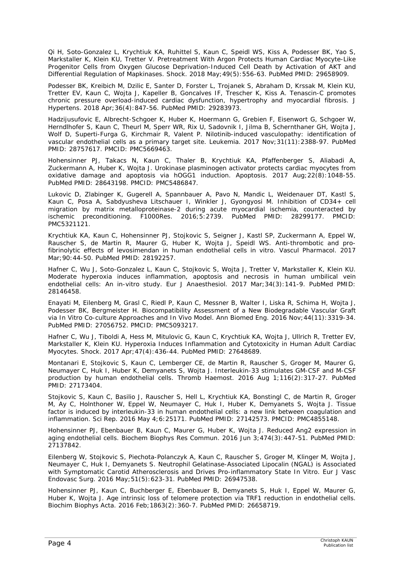Qi H, Soto-Gonzalez L, Krychtiuk KA, Ruhittel S, Kaun C, Speidl WS, Kiss A, Podesser BK, Yao S, Markstaller K, Klein KU, Tretter V. Pretreatment With Argon Protects Human Cardiac Myocyte-Like Progenitor Cells from Oxygen Glucose Deprivation-Induced Cell Death by Activation of AKT and Differential Regulation of Mapkinases. Shock. 2018 May;49(5):556-63. PubMed PMID: 29658909.

Podesser BK, Kreibich M, Dzilic E, Santer D, Forster L, Trojanek S, Abraham D, Krssak M, Klein KU, Tretter EV, Kaun C, Wojta J, Kapeller B, Goncalves IF, Trescher K, Kiss A. Tenascin-C promotes chronic pressure overload-induced cardiac dysfunction, hypertrophy and myocardial fibrosis. J Hypertens. 2018 Apr;36(4):847-56. PubMed PMID: 29283973.

Hadzijusufovic E, Albrecht-Schgoer K, Huber K, Hoermann G, Grebien F, Eisenwort G, Schgoer W, Herndlhofer S, Kaun C, Theurl M, Sperr WR, Rix U, Sadovnik I, Jilma B, Schernthaner GH, Wojta J, Wolf D, Superti-Furga G, Kirchmair R, Valent P. Nilotinib-induced vasculopathy: identification of vascular endothelial cells as a primary target site. Leukemia. 2017 Nov;31(11):2388-97. PubMed PMID: 28757617. PMCID: PMC5669463.

Hohensinner PJ, Takacs N, Kaun C, Thaler B, Krychtiuk KA, Pfaffenberger S, Aliabadi A, Zuckermann A, Huber K, Wojta J. Urokinase plasminogen activator protects cardiac myocytes from oxidative damage and apoptosis via hOGG1 induction. Apoptosis. 2017 Aug;22(8):1048-55. PubMed PMID: 28643198. PMCID: PMC5486847.

Lukovic D, Zlabinger K, Gugerell A, Spannbauer A, Pavo N, Mandic L, Weidenauer DT, Kastl S, Kaun C, Posa A, Sabdyusheva Litschauer I, Winkler J, Gyongyosi M. Inhibition of CD34+ cell migration by matrix metalloproteinase-2 during acute myocardial ischemia, counteracted by ischemic preconditioning. F1000Res. 2016;5:2739. PubMed PMID: 28299177. PMCID: PMC5321121.

Krychtiuk KA, Kaun C, Hohensinner PJ, Stojkovic S, Seigner J, Kastl SP, Zuckermann A, Eppel W, Rauscher S, de Martin R, Maurer G, Huber K, Wojta J, Speidl WS. Anti-thrombotic and profibrinolytic effects of levosimendan in human endothelial cells in vitro. Vascul Pharmacol. 2017 Mar;90:44-50. PubMed PMID: 28192257.

Hafner C, Wu J, Soto-Gonzalez L, Kaun C, Stojkovic S, Wojta J, Tretter V, Markstaller K, Klein KU. Moderate hyperoxia induces inflammation, apoptosis and necrosis in human umbilical vein endothelial cells: An in-vitro study. Eur J Anaesthesiol. 2017 Mar;34(3):141-9. PubMed PMID: 28146458.

Enayati M, Eilenberg M, Grasl C, Riedl P, Kaun C, Messner B, Walter I, Liska R, Schima H, Wojta J, Podesser BK, Bergmeister H. Biocompatibility Assessment of a New Biodegradable Vascular Graft via In Vitro Co-culture Approaches and In Vivo Model. Ann Biomed Eng. 2016 Nov;44(11):3319-34. PubMed PMID: 27056752. PMCID: PMC5093217.

Hafner C, Wu J, Tiboldi A, Hess M, Mitulovic G, Kaun C, Krychtiuk KA, Wojta J, Ullrich R, Tretter EV, Markstaller K, Klein KU. Hyperoxia Induces Inflammation and Cytotoxicity in Human Adult Cardiac Myocytes. Shock. 2017 Apr;47(4):436-44. PubMed PMID: 27648689.

Montanari E, Stojkovic S, Kaun C, Lemberger CE, de Martin R, Rauscher S, Groger M, Maurer G, Neumayer C, Huk I, Huber K, Demyanets S, Wojta J. Interleukin-33 stimulates GM-CSF and M-CSF production by human endothelial cells. Thromb Haemost. 2016 Aug 1;116(2):317-27. PubMed PMID: 27173404.

Stojkovic S, Kaun C, Basilio J, Rauscher S, Hell L, Krychtiuk KA, Bonstingl C, de Martin R, Groger M, Ay C, Holnthoner W, Eppel W, Neumayer C, Huk I, Huber K, Demyanets S, Wojta J. Tissue factor is induced by interleukin-33 in human endothelial cells: a new link between coagulation and inflammation. Sci Rep. 2016 May 4;6:25171. PubMed PMID: 27142573. PMCID: PMC4855148.

Hohensinner PJ, Ebenbauer B, Kaun C, Maurer G, Huber K, Wojta J. Reduced Ang2 expression in aging endothelial cells. Biochem Biophys Res Commun. 2016 Jun 3;474(3):447-51. PubMed PMID: 27137842.

Eilenberg W, Stojkovic S, Piechota-Polanczyk A, Kaun C, Rauscher S, Groger M, Klinger M, Wojta J, Neumayer C, Huk I, Demyanets S. Neutrophil Gelatinase-Associated Lipocalin (NGAL) is Associated with Symptomatic Carotid Atherosclerosis and Drives Pro-inflammatory State In Vitro. Eur J Vasc Endovasc Surg. 2016 May;51(5):623-31. PubMed PMID: 26947538.

Hohensinner PJ, Kaun C, Buchberger E, Ebenbauer B, Demyanets S, Huk I, Eppel W, Maurer G, Huber K, Wojta J. Age intrinsic loss of telomere protection via TRF1 reduction in endothelial cells. Biochim Biophys Acta. 2016 Feb;1863(2):360-7. PubMed PMID: 26658719.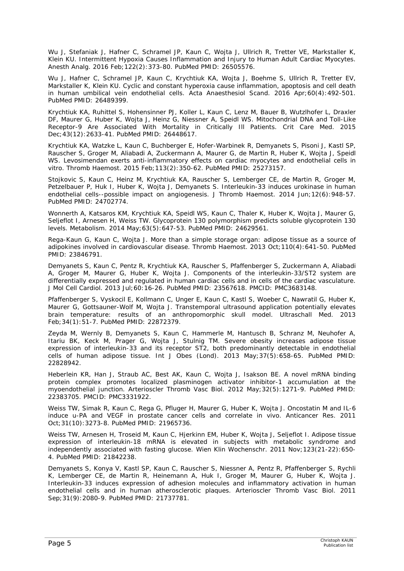Wu J, Stefaniak J, Hafner C, Schramel JP, Kaun C, Wojta J, Ullrich R, Tretter VE, Markstaller K, Klein KU. Intermittent Hypoxia Causes Inflammation and Injury to Human Adult Cardiac Myocytes. Anesth Analg. 2016 Feb;122(2):373-80. PubMed PMID: 26505576.

Wu J, Hafner C, Schramel JP, Kaun C, Krychtiuk KA, Wojta J, Boehme S, Ullrich R, Tretter EV, Markstaller K, Klein KU. Cyclic and constant hyperoxia cause inflammation, apoptosis and cell death in human umbilical vein endothelial cells. Acta Anaesthesiol Scand. 2016 Apr;60(4):492-501. PubMed PMID: 26489399.

Krychtiuk KA, Ruhittel S, Hohensinner PJ, Koller L, Kaun C, Lenz M, Bauer B, Wutzlhofer L, Draxler DF, Maurer G, Huber K, Wojta J, Heinz G, Niessner A, Speidl WS. Mitochondrial DNA and Toll-Like Receptor-9 Are Associated With Mortality in Critically Ill Patients. Crit Care Med. 2015 Dec;43(12):2633-41. PubMed PMID: 26448617.

Krychtiuk KA, Watzke L, Kaun C, Buchberger E, Hofer-Warbinek R, Demyanets S, Pisoni J, Kastl SP, Rauscher S, Groger M, Aliabadi A, Zuckermann A, Maurer G, de Martin R, Huber K, Wojta J, Speidl WS. Levosimendan exerts anti-inflammatory effects on cardiac myocytes and endothelial cells in vitro. Thromb Haemost. 2015 Feb;113(2):350-62. PubMed PMID: 25273157.

Stojkovic S, Kaun C, Heinz M, Krychtiuk KA, Rauscher S, Lemberger CE, de Martin R, Groger M, Petzelbauer P, Huk I, Huber K, Wojta J, Demyanets S. Interleukin-33 induces urokinase in human endothelial cells--possible impact on angiogenesis. J Thromb Haemost. 2014 Jun;12(6):948-57. PubMed PMID: 24702774.

Wonnerth A, Katsaros KM, Krychtiuk KA, Speidl WS, Kaun C, Thaler K, Huber K, Wojta J, Maurer G, Seljeflot I, Arnesen H, Weiss TW. Glycoprotein 130 polymorphism predicts soluble glycoprotein 130 levels. Metabolism. 2014 May;63(5):647-53. PubMed PMID: 24629561.

Rega-Kaun G, Kaun C, Wojta J. More than a simple storage organ: adipose tissue as a source of adipokines involved in cardiovascular disease. Thromb Haemost. 2013 Oct;110(4):641-50. PubMed PMID: 23846791.

Demyanets S, Kaun C, Pentz R, Krychtiuk KA, Rauscher S, Pfaffenberger S, Zuckermann A, Aliabadi A, Groger M, Maurer G, Huber K, Wojta J. Components of the interleukin-33/ST2 system are differentially expressed and regulated in human cardiac cells and in cells of the cardiac vasculature. J Mol Cell Cardiol. 2013 Jul;60:16-26. PubMed PMID: 23567618. PMCID: PMC3683148.

Pfaffenberger S, Vyskocil E, Kollmann C, Unger E, Kaun C, Kastl S, Woeber C, Nawratil G, Huber K, Maurer G, Gottsauner-Wolf M, Wojta J. Transtemporal ultrasound application potentially elevates brain temperature: results of an anthropomorphic skull model. Ultraschall Med. 2013 Feb;34(1):51-7. PubMed PMID: 22872379.

Zeyda M, Wernly B, Demyanets S, Kaun C, Hammerle M, Hantusch B, Schranz M, Neuhofer A, Itariu BK, Keck M, Prager G, Wojta J, Stulnig TM. Severe obesity increases adipose tissue expression of interleukin-33 and its receptor ST2, both predominantly detectable in endothelial cells of human adipose tissue. Int J Obes (Lond). 2013 May;37(5):658-65. PubMed PMID: 22828942.

Heberlein KR, Han J, Straub AC, Best AK, Kaun C, Wojta J, Isakson BE. A novel mRNA binding protein complex promotes localized plasminogen activator inhibitor-1 accumulation at the myoendothelial junction. Arterioscler Thromb Vasc Biol. 2012 May;32(5):1271-9. PubMed PMID: 22383705. PMCID: PMC3331922.

Weiss TW, Simak R, Kaun C, Rega G, Pfluger H, Maurer G, Huber K, Wojta J. Oncostatin M and IL-6 induce u-PA and VEGF in prostate cancer cells and correlate in vivo. Anticancer Res. 2011 Oct;31(10):3273-8. PubMed PMID: 21965736.

Weiss TW, Arnesen H, Troseid M, Kaun C, Hjerkinn EM, Huber K, Wojta J, Seljeflot I. Adipose tissue expression of interleukin-18 mRNA is elevated in subjects with metabolic syndrome and independently associated with fasting glucose. Wien Klin Wochenschr. 2011 Nov; 123(21-22): 650-4. PubMed PMID: 21842238.

Demyanets S, Konya V, Kastl SP, Kaun C, Rauscher S, Niessner A, Pentz R, Pfaffenberger S, Rychli K, Lemberger CE, de Martin R, Heinemann A, Huk I, Groger M, Maurer G, Huber K, Wojta J. Interleukin-33 induces expression of adhesion molecules and inflammatory activation in human endothelial cells and in human atherosclerotic plaques. Arterioscler Thromb Vasc Biol. 2011 Sep;31(9):2080-9. PubMed PMID: 21737781.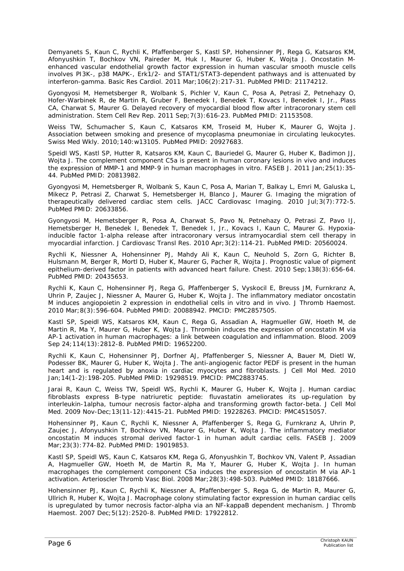Demyanets S, Kaun C, Rychli K, Pfaffenberger S, Kastl SP, Hohensinner PJ, Rega G, Katsaros KM, Afonyushkin T, Bochkov VN, Paireder M, Huk I, Maurer G, Huber K, Wojta J. Oncostatin Menhanced vascular endothelial growth factor expression in human vascular smooth muscle cells involves PI3K-, p38 MAPK-, Erk1/2- and STAT1/STAT3-dependent pathways and is attenuated by interferon-gamma. Basic Res Cardiol. 2011 Mar;106(2):217-31. PubMed PMID: 21174212.

Gyongyosi M, Hemetsberger R, Wolbank S, Pichler V, Kaun C, Posa A, Petrasi Z, Petnehazy O, Hofer-Warbinek R, de Martin R, Gruber F, Benedek I, Benedek T, Kovacs I, Benedek I, Jr., Plass CA, Charwat S, Maurer G. Delayed recovery of myocardial blood flow after intracoronary stem cell administration. Stem Cell Rev Rep. 2011 Sep;7(3):616-23. PubMed PMID: 21153508.

Weiss TW, Schumacher S, Kaun C, Katsaros KM, Troseid M, Huber K, Maurer G, Wojta J. Association between smoking and presence of mycoplasma pneumoniae in circulating leukocytes. Swiss Med Wkly. 2010;140:w13105. PubMed PMID: 20927683.

Speidl WS, Kastl SP, Hutter R, Katsaros KM, Kaun C, Bauriedel G, Maurer G, Huber K, Badimon JJ, Wojta J. The complement component C5a is present in human coronary lesions in vivo and induces the expression of MMP-1 and MMP-9 in human macrophages in vitro. FASEB J. 2011 Jan;25(1):35- 44. PubMed PMID: 20813982.

Gyongyosi M, Hemetsberger R, Wolbank S, Kaun C, Posa A, Marian T, Balkay L, Emri M, Galuska L, Mikecz P, Petrasi Z, Charwat S, Hemetsberger H, Blanco J, Maurer G. Imaging the migration of therapeutically delivered cardiac stem cells. JACC Cardiovasc Imaging. 2010 Jul;3(7):772-5. PubMed PMID: 20633856.

Gyongyosi M, Hemetsberger R, Posa A, Charwat S, Pavo N, Petnehazy O, Petrasi Z, Pavo IJ, Hemetsberger H, Benedek I, Benedek T, Benedek I, Jr., Kovacs I, Kaun C, Maurer G. Hypoxiainducible factor 1-alpha release after intracoronary versus intramyocardial stem cell therapy in myocardial infarction. J Cardiovasc Transl Res. 2010 Apr;3(2):114-21. PubMed PMID: 20560024.

Rychli K, Niessner A, Hohensinner PJ, Mahdy Ali K, Kaun C, Neuhold S, Zorn G, Richter B, Hulsmann M, Berger R, Mortl D, Huber K, Maurer G, Pacher R, Wojta J. Prognostic value of pigment epithelium-derived factor in patients with advanced heart failure. Chest. 2010 Sep;138(3):656-64. PubMed PMID: 20435653.

Rychli K, Kaun C, Hohensinner PJ, Rega G, Pfaffenberger S, Vyskocil E, Breuss JM, Furnkranz A, Uhrin P, Zaujec J, Niessner A, Maurer G, Huber K, Wojta J. The inflammatory mediator oncostatin M induces angiopoietin 2 expression in endothelial cells in vitro and in vivo. J Thromb Haemost. 2010 Mar;8(3):596-604. PubMed PMID: 20088942. PMCID: PMC2857505.

Kastl SP, Speidl WS, Katsaros KM, Kaun C, Rega G, Assadian A, Hagmueller GW, Hoeth M, de Martin R, Ma Y, Maurer G, Huber K, Wojta J. Thrombin induces the expression of oncostatin M via AP-1 activation in human macrophages: a link between coagulation and inflammation. Blood. 2009 Sep 24;114(13):2812-8. PubMed PMID: 19652200.

Rychli K, Kaun C, Hohensinner PJ, Dorfner AJ, Pfaffenberger S, Niessner A, Bauer M, Dietl W, Podesser BK, Maurer G, Huber K, Wojta J. The anti-angiogenic factor PEDF is present in the human heart and is regulated by anoxia in cardiac myocytes and fibroblasts. J Cell Mol Med. 2010 Jan;14(1-2):198-205. PubMed PMID: 19298519. PMCID: PMC2883745.

Jarai R, Kaun C, Weiss TW, Speidl WS, Rychli K, Maurer G, Huber K, Wojta J. Human cardiac fibroblasts express B-type natriuretic peptide: fluvastatin ameliorates its up-regulation by interleukin-1alpha, tumour necrosis factor-alpha and transforming growth factor-beta. J Cell Mol Med. 2009 Nov-Dec;13(11-12):4415-21. PubMed PMID: 19228263. PMCID: PMC4515057.

Hohensinner PJ, Kaun C, Rychli K, Niessner A, Pfaffenberger S, Rega G, Furnkranz A, Uhrin P, Zaujec J, Afonyushkin T, Bochkov VN, Maurer G, Huber K, Wojta J. The inflammatory mediator oncostatin M induces stromal derived factor-1 in human adult cardiac cells. FASEB J. 2009 Mar;23(3):774-82. PubMed PMID: 19019853.

Kastl SP, Speidl WS, Kaun C, Katsaros KM, Rega G, Afonyushkin T, Bochkov VN, Valent P, Assadian A, Hagmueller GW, Hoeth M, de Martin R, Ma Y, Maurer G, Huber K, Wojta J. In human macrophages the complement component C5a induces the expression of oncostatin M via AP-1 activation. Arterioscler Thromb Vasc Biol. 2008 Mar;28(3):498-503. PubMed PMID: 18187666.

Hohensinner PJ, Kaun C, Rychli K, Niessner A, Pfaffenberger S, Rega G, de Martin R, Maurer G, Ullrich R, Huber K, Wojta J. Macrophage colony stimulating factor expression in human cardiac cells is upregulated by tumor necrosis factor-alpha via an NF-kappaB dependent mechanism. J Thromb Haemost. 2007 Dec;5(12):2520-8. PubMed PMID: 17922812.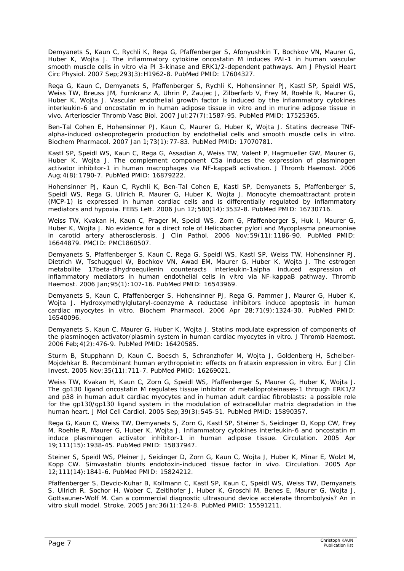Demyanets S, Kaun C, Rychli K, Rega G, Pfaffenberger S, Afonyushkin T, Bochkov VN, Maurer G, Huber K, Wojta J. The inflammatory cytokine oncostatin M induces PAI-1 in human vascular smooth muscle cells in vitro via PI 3-kinase and ERK1/2-dependent pathways. Am J Physiol Heart Circ Physiol. 2007 Sep;293(3):H1962-8. PubMed PMID: 17604327.

Rega G, Kaun C, Demyanets S, Pfaffenberger S, Rychli K, Hohensinner PJ, Kastl SP, Speidl WS, Weiss TW, Breuss JM, Furnkranz A, Uhrin P, Zaujec J, Zilberfarb V, Frey M, Roehle R, Maurer G, Huber K, Wojta J. Vascular endothelial growth factor is induced by the inflammatory cytokines interleukin-6 and oncostatin m in human adipose tissue in vitro and in murine adipose tissue in vivo. Arterioscler Thromb Vasc Biol. 2007 Jul;27(7):1587-95. PubMed PMID: 17525365.

Ben-Tal Cohen E, Hohensinner PJ, Kaun C, Maurer G, Huber K, Wojta J. Statins decrease TNFalpha-induced osteoprotegerin production by endothelial cells and smooth muscle cells in vitro. Biochem Pharmacol. 2007 Jan 1;73(1):77-83. PubMed PMID: 17070781.

Kastl SP, Speidl WS, Kaun C, Rega G, Assadian A, Weiss TW, Valent P, Hagmueller GW, Maurer G, Huber K, Wojta J. The complement component C5a induces the expression of plasminogen activator inhibitor-1 in human macrophages via NF-kappaB activation. J Thromb Haemost. 2006 Aug;4(8):1790-7. PubMed PMID: 16879222.

Hohensinner PJ, Kaun C, Rychli K, Ben-Tal Cohen E, Kastl SP, Demyanets S, Pfaffenberger S, Speidl WS, Rega G, Ullrich R, Maurer G, Huber K, Wojta J. Monocyte chemoattractant protein (MCP-1) is expressed in human cardiac cells and is differentially regulated by inflammatory mediators and hypoxia. FEBS Lett. 2006 Jun 12;580(14):3532-8. PubMed PMID: 16730716.

Weiss TW, Kvakan H, Kaun C, Prager M, Speidl WS, Zorn G, Pfaffenberger S, Huk I, Maurer G, Huber K, Wojta J. No evidence for a direct role of Helicobacter pylori and Mycoplasma pneumoniae in carotid artery atherosclerosis. J Clin Pathol. 2006 Nov;59(11):1186-90. PubMed PMID: 16644879. PMCID: PMC1860507.

Demyanets S, Pfaffenberger S, Kaun C, Rega G, Speidl WS, Kastl SP, Weiss TW, Hohensinner PJ, Dietrich W, Tschugguel W, Bochkov VN, Awad EM, Maurer G, Huber K, Wojta J. The estrogen metabolite 17beta-dihydroequilenin counteracts interleukin-1alpha induced expression of inflammatory mediators in human endothelial cells in vitro via NF-kappaB pathway. Thromb Haemost. 2006 Jan;95(1):107-16. PubMed PMID: 16543969.

Demyanets S, Kaun C, Pfaffenberger S, Hohensinner PJ, Rega G, Pammer J, Maurer G, Huber K, Wojta J. Hydroxymethylglutaryl-coenzyme A reductase inhibitors induce apoptosis in human cardiac myocytes in vitro. Biochem Pharmacol. 2006 Apr 28;71(9):1324-30. PubMed PMID: 16540096.

Demyanets S, Kaun C, Maurer G, Huber K, Wojta J. Statins modulate expression of components of the plasminogen activator/plasmin system in human cardiac myocytes in vitro. J Thromb Haemost. 2006 Feb;4(2):476-9. PubMed PMID: 16420585.

Sturm B, Stupphann D, Kaun C, Boesch S, Schranzhofer M, Wojta J, Goldenberg H, Scheiber-Mojdehkar B. Recombinant human erythropoietin: effects on frataxin expression in vitro. Eur J Clin Invest. 2005 Nov;35(11):711-7. PubMed PMID: 16269021.

Weiss TW, Kvakan H, Kaun C, Zorn G, Speidl WS, Pfaffenberger S, Maurer G, Huber K, Wojta J. The gp130 ligand oncostatin M regulates tissue inhibitor of metalloproteinases-1 through ERK1/2 and p38 in human adult cardiac myocytes and in human adult cardiac fibroblasts: a possible role for the gp130/gp130 ligand system in the modulation of extracellular matrix degradation in the human heart. J Mol Cell Cardiol. 2005 Sep;39(3):545-51. PubMed PMID: 15890357.

Rega G, Kaun C, Weiss TW, Demyanets S, Zorn G, Kastl SP, Steiner S, Seidinger D, Kopp CW, Frey M, Roehle R, Maurer G, Huber K, Wojta J. Inflammatory cytokines interleukin-6 and oncostatin m induce plasminogen activator inhibitor-1 in human adipose tissue. Circulation. 2005 Apr 19;111(15):1938-45. PubMed PMID: 15837947.

Steiner S, Speidl WS, Pleiner J, Seidinger D, Zorn G, Kaun C, Wojta J, Huber K, Minar E, Wolzt M, Kopp CW. Simvastatin blunts endotoxin-induced tissue factor in vivo. Circulation. 2005 Apr 12;111(14):1841-6. PubMed PMID: 15824212.

Pfaffenberger S, Devcic-Kuhar B, Kollmann C, Kastl SP, Kaun C, Speidl WS, Weiss TW, Demyanets S, Ullrich R, Sochor H, Wober C, Zeitlhofer J, Huber K, Groschl M, Benes E, Maurer G, Wojta J, Gottsauner-Wolf M. Can a commercial diagnostic ultrasound device accelerate thrombolysis? An in vitro skull model. Stroke. 2005 Jan;36(1):124-8. PubMed PMID: 15591211.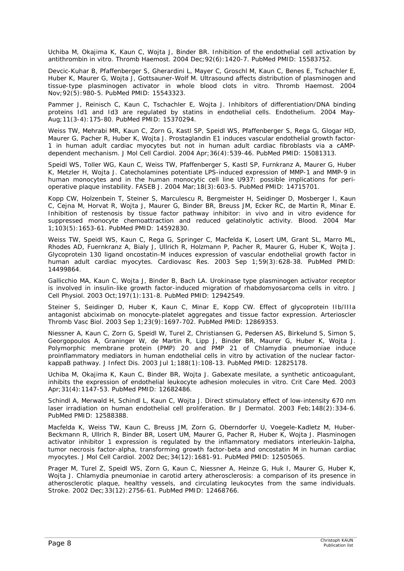Uchiba M, Okajima K, Kaun C, Wojta J, Binder BR. Inhibition of the endothelial cell activation by antithrombin in vitro. Thromb Haemost. 2004 Dec;92(6):1420-7. PubMed PMID: 15583752.

Devcic-Kuhar B, Pfaffenberger S, Gherardini L, Mayer C, Groschl M, Kaun C, Benes E, Tschachler E, Huber K, Maurer G, Wojta J, Gottsauner-Wolf M. Ultrasound affects distribution of plasminogen and tissue-type plasminogen activator in whole blood clots in vitro. Thromb Haemost. 2004 Nov;92(5):980-5. PubMed PMID: 15543323.

Pammer J, Reinisch C, Kaun C, Tschachler E, Wojta J. Inhibitors of differentiation/DNA binding proteins Id1 and Id3 are regulated by statins in endothelial cells. Endothelium. 2004 May-Aug;11(3-4):175-80. PubMed PMID: 15370294.

Weiss TW, Mehrabi MR, Kaun C, Zorn G, Kastl SP, Speidl WS, Pfaffenberger S, Rega G, Glogar HD, Maurer G, Pacher R, Huber K, Wojta J. Prostaglandin E1 induces vascular endothelial growth factor-1 in human adult cardiac myocytes but not in human adult cardiac fibroblasts via a cAMPdependent mechanism. J Mol Cell Cardiol. 2004 Apr;36(4):539-46. PubMed PMID: 15081313.

Speidl WS, Toller WG, Kaun C, Weiss TW, Pfaffenberger S, Kastl SP, Furnkranz A, Maurer G, Huber K, Metzler H, Wojta J. Catecholamines potentiate LPS-induced expression of MMP-1 and MMP-9 in human monocytes and in the human monocytic cell line U937: possible implications for perioperative plaque instability. FASEB J. 2004 Mar;18(3):603-5. PubMed PMID: 14715701.

Kopp CW, Holzenbein T, Steiner S, Marculescu R, Bergmeister H, Seidinger D, Mosberger I, Kaun C, Cejna M, Horvat R, Wojta J, Maurer G, Binder BR, Breuss JM, Ecker RC, de Martin R, Minar E. Inhibition of restenosis by tissue factor pathway inhibitor: in vivo and in vitro evidence for suppressed monocyte chemoattraction and reduced gelatinolytic activity. Blood. 2004 Mar 1;103(5):1653-61. PubMed PMID: 14592830.

Weiss TW, Speidl WS, Kaun C, Rega G, Springer C, Macfelda K, Losert UM, Grant SL, Marro ML, Rhodes AD, Fuernkranz A, Bialy J, Ullrich R, Holzmann P, Pacher R, Maurer G, Huber K, Wojta J. Glycoprotein 130 ligand oncostatin-M induces expression of vascular endothelial growth factor in human adult cardiac myocytes. Cardiovasc Res. 2003 Sep 1;59(3):628-38. PubMed PMID: 14499864.

Gallicchio MA, Kaun C, Wojta J, Binder B, Bach LA. Urokinase type plasminogen activator receptor is involved in insulin-like growth factor-induced migration of rhabdomyosarcoma cells in vitro. J Cell Physiol. 2003 Oct;197(1):131-8. PubMed PMID: 12942549.

Steiner S, Seidinger D, Huber K, Kaun C, Minar E, Kopp CW. Effect of glycoprotein IIb/IIIa antagonist abciximab on monocyte-platelet aggregates and tissue factor expression. Arterioscler Thromb Vasc Biol. 2003 Sep 1;23(9):1697-702. PubMed PMID: 12869353.

Niessner A, Kaun C, Zorn G, Speidl W, Turel Z, Christiansen G, Pedersen AS, Birkelund S, Simon S, Georgopoulos A, Graninger W, de Martin R, Lipp J, Binder BR, Maurer G, Huber K, Wojta J. Polymorphic membrane protein (PMP) 20 and PMP 21 of Chlamydia pneumoniae induce proinflammatory mediators in human endothelial cells in vitro by activation of the nuclear factorkappaB pathway. J Infect Dis. 2003 Jul 1;188(1):108-13. PubMed PMID: 12825178.

Uchiba M, Okajima K, Kaun C, Binder BR, Wojta J. Gabexate mesilate, a synthetic anticoagulant, inhibits the expression of endothelial leukocyte adhesion molecules in vitro. Crit Care Med. 2003 Apr;31(4):1147-53. PubMed PMID: 12682486.

Schindl A, Merwald H, Schindl L, Kaun C, Wojta J. Direct stimulatory effect of low-intensity 670 nm laser irradiation on human endothelial cell proliferation. Br J Dermatol. 2003 Feb; 148(2): 334-6. PubMed PMID: 12588388.

Macfelda K, Weiss TW, Kaun C, Breuss JM, Zorn G, Oberndorfer U, Voegele-Kadletz M, Huber-Beckmann R, Ullrich R, Binder BR, Losert UM, Maurer G, Pacher R, Huber K, Wojta J. Plasminogen activator inhibitor 1 expression is regulated by the inflammatory mediators interleukin-1alpha, tumor necrosis factor-alpha, transforming growth factor-beta and oncostatin M in human cardiac myocytes. J Mol Cell Cardiol. 2002 Dec;34(12):1681-91. PubMed PMID: 12505065.

Prager M, Turel Z, Speidl WS, Zorn G, Kaun C, Niessner A, Heinze G, Huk I, Maurer G, Huber K, Wojta J. Chlamydia pneumoniae in carotid artery atherosclerosis: a comparison of its presence in atherosclerotic plaque, healthy vessels, and circulating leukocytes from the same individuals. Stroke. 2002 Dec;33(12):2756-61. PubMed PMID: 12468766.